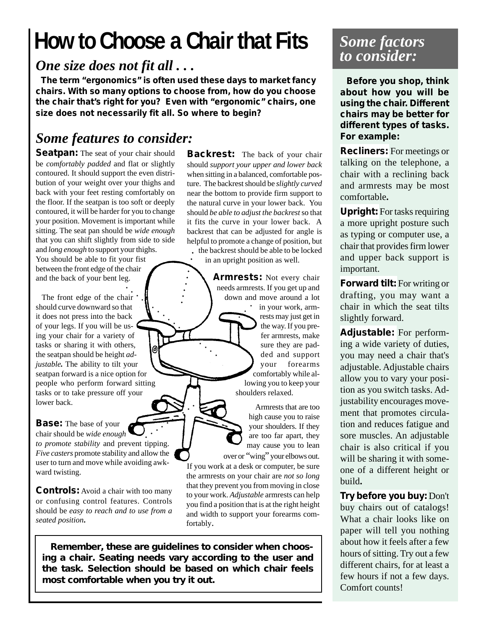# **How to Choose a Chair that Fits**

#### *One size does not fit all . . .*

 **The term "ergonomics" is often used these days to market fancy chairs. With so many options to choose from, how do you choose the chair that's right for you? Even with "ergonomic" chairs, one size does not necessarily fit all. So where to begin?**

aaaaa

.<br>A

#### *Some features to consider:*

Seatpan: The seat of your chair should be *comfortably padded* and flat or slightly contoured. It should support the even distribution of your weight over your thighs and back with your feet resting comfortably on the floor. If the seatpan is too soft or deeply contoured, it will be harder for you to change your position. Movement is important while sitting. The seat pan should be *wide enough* that you can shift slightly from side to side and *long enough* to support your thighs. You should be able to fit your fist between the front edge of the chair

 The front edge of the chair should curve downward so that it does not press into the back of your legs. If you will be using your chair for a variety of tasks or sharing it with others, the seatpan should be height *adjustable.* The ability to tilt your seatpan forward is a nice option for people who perform forward sitting tasks or to take pressure off your lower back. aaaaaaaaaaaaaaaaaa

and the back of your bent leg.

#### **Base:** The base of your chair should be *wide enough to promote stability* and prevent tipping. *Five casters* promote stability and allow the user to turn and move while avoiding awkward twisting.  $\frac{1}{\sqrt{2}}$

**Controls:** Avoid a chair with too many or confusing control features. Controls should be *easy to reach and to use from a seated position***.**

**Backrest:** The back of your chair should *support your upper and lower back* when sitting in a balanced, comfortable posture. The backrest should be *slightly curved* near the bottom to provide firm support to the natural curve in your lower back. You should *be able to adjust the backrest* so that it fits the curve in your lower back. A backrest that can be adjusted for angle is helpful to promote a change of position, but the backrest should be able to be locked

in an upright position as well.

**Armrests:** Not every chair needs armrests. If you get up and down and move around a lot • in your work, armrests may just get in the way. If you prefer armrests, make sure they are padded and support your forearms comfortably while allowing you to keep your shoulders relaxed.  $\ddot{\sim}$ 

 Armrests that are too high cause you to raise your shoulders. If they are too far apart, they may cause you to lean over or "wing" your elbows out.

If you work at a desk or computer, be sure the armrests on your chair are *not so long* that they prevent you from moving in close to your work. *Adjustable* armrests can help you find a position that is at the right height and width to support your forearms comfortably.

 *Remember, these are guidelines to consider when choosing a chair. Seating needs vary according to the user and the task. Selection should be based on which chair feels most comfortable when you try it out.*

#### *Some factors to consider:*

 **Before you shop, think about how you will be using the chair. Different chairs may be better for different types of tasks. For example:**

**Recliners:** For meetings or talking on the telephone, a chair with a reclining back and armrests may be most comfortable**.**

**Upright:** For tasks requiring a more upright posture such as typing or computer use, a chair that provides firm lower and upper back support is important.

**Forward tilt:** For writing or drafting, you may want a chair in which the seat tilts slightly forward.

**Adjustable:** For performing a wide variety of duties, you may need a chair that's adjustable. Adjustable chairs allow you to vary your position as you switch tasks. Adjustability encourages movement that promotes circulation and reduces fatigue and sore muscles. An adjustable chair is also critical if you will be sharing it with someone of a different height or build**.**

**Try before you buy:** Don't buy chairs out of catalogs! What a chair looks like on paper will tell you nothing about how it feels after a few hours of sitting. Try out a few different chairs, for at least a few hours if not a few days. Comfort counts!